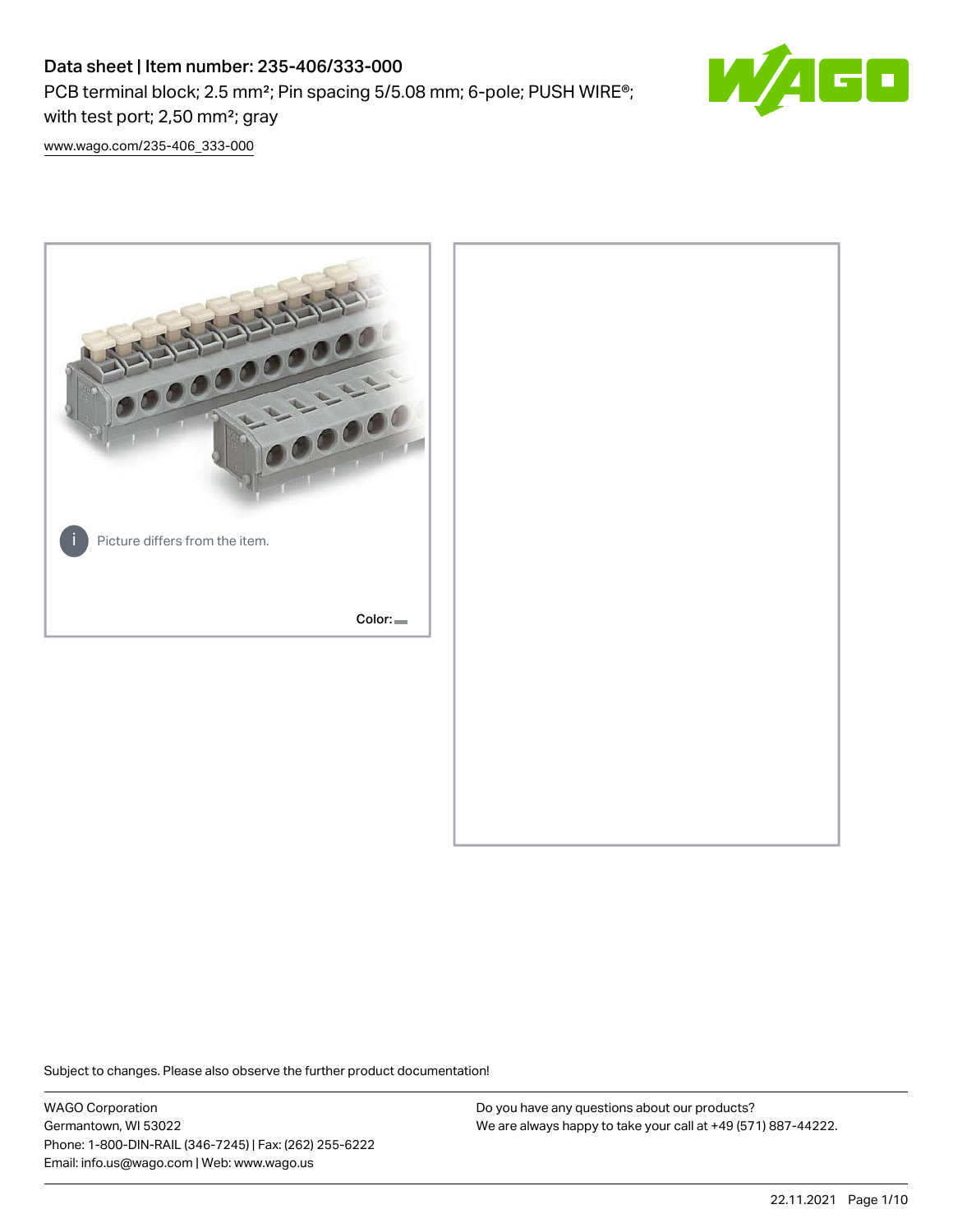PCB terminal block; 2.5 mm<sup>2</sup>; Pin spacing 5/5.08 mm; 6-pole; PUSH WIRE<sup>®</sup>; with test port; 2,50 mm²; gray



[www.wago.com/235-406\\_333-000](http://www.wago.com/235-406_333-000)



Subject to changes. Please also observe the further product documentation!

WAGO Corporation Germantown, WI 53022 Phone: 1-800-DIN-RAIL (346-7245) | Fax: (262) 255-6222 Email: info.us@wago.com | Web: www.wago.us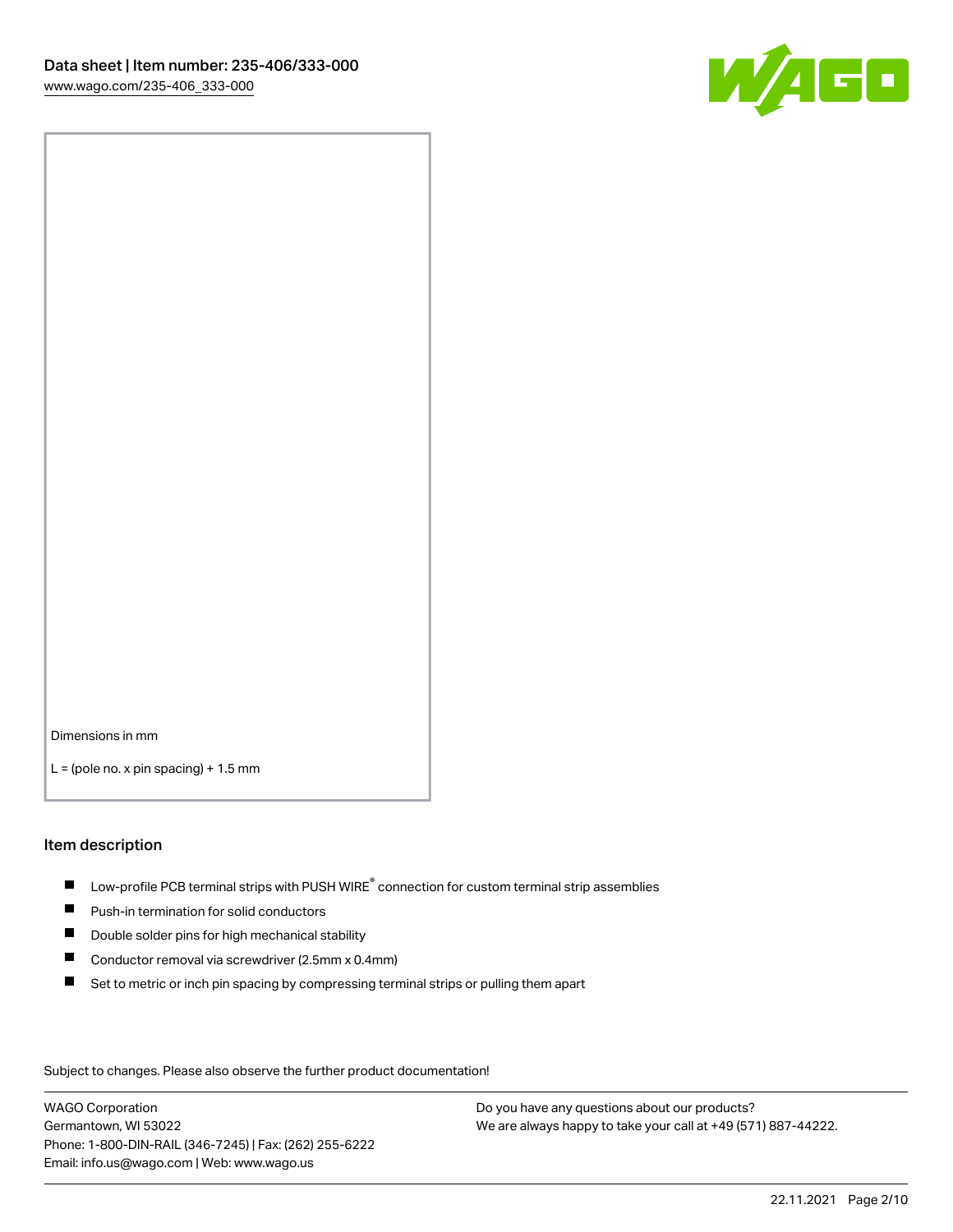

Dimensions in mm

 $L =$  (pole no. x pin spacing) + 1.5 mm

#### Item description

- $\blacksquare$  Low-profile PCB terminal strips with PUSH WIRE<sup>®</sup> connection for custom terminal strip assemblies
- **Push-in termination for solid conductors**
- $\blacksquare$ Double solder pins for high mechanical stability
- $\blacksquare$ Conductor removal via screwdriver (2.5mm x 0.4mm)
- $\blacksquare$ Set to metric or inch pin spacing by compressing terminal strips or pulling them apart

Subject to changes. Please also observe the further product documentation!

WAGO Corporation Germantown, WI 53022 Phone: 1-800-DIN-RAIL (346-7245) | Fax: (262) 255-6222 Email: info.us@wago.com | Web: www.wago.us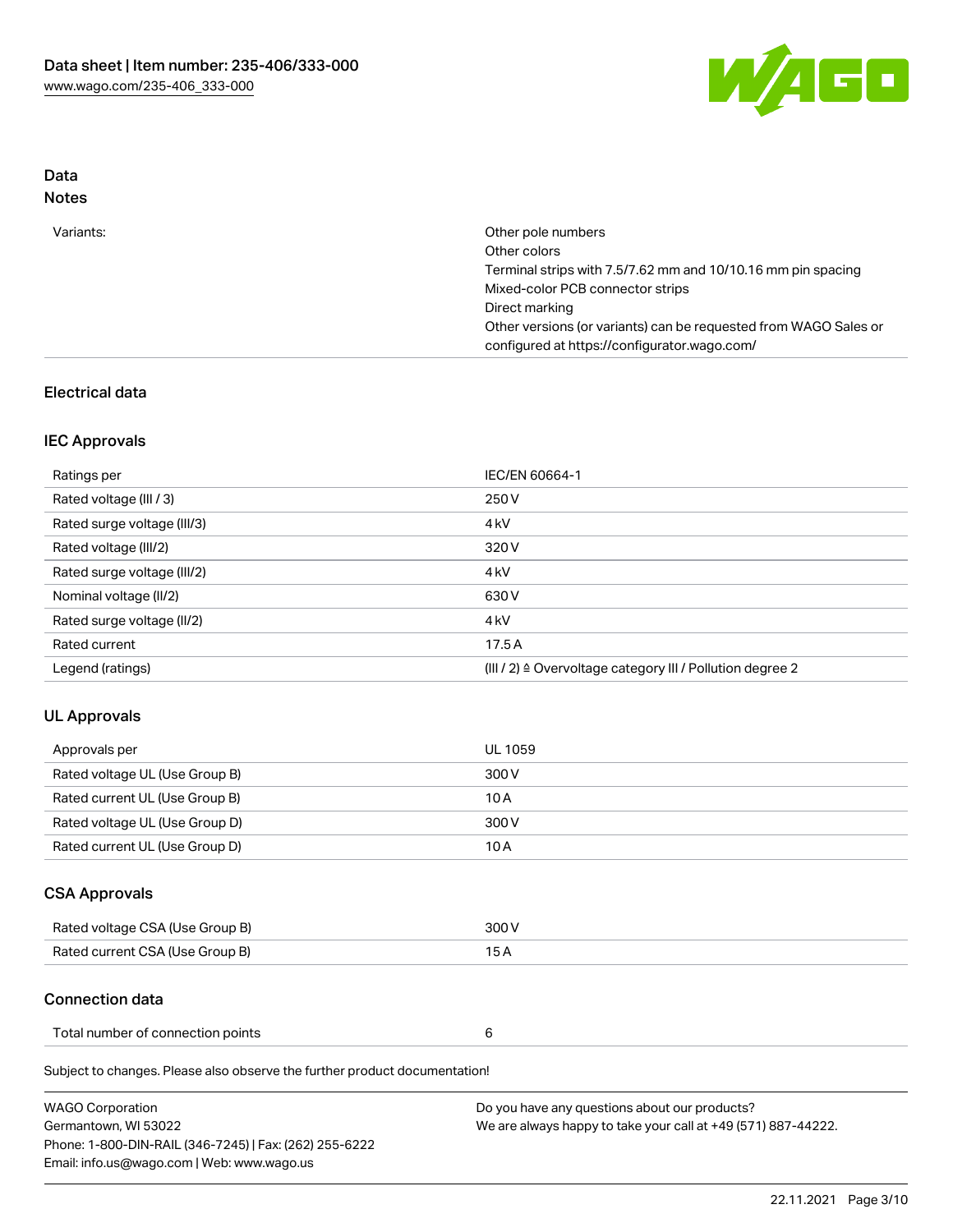

# Data

| ×<br>×<br>۰,<br>۹<br>٠ |  |
|------------------------|--|
|------------------------|--|

## Electrical data

### IEC Approvals

| Ratings per                 | IEC/EN 60664-1                                                        |
|-----------------------------|-----------------------------------------------------------------------|
| Rated voltage (III / 3)     | 250 V                                                                 |
| Rated surge voltage (III/3) | 4 <sub>k</sub> V                                                      |
| Rated voltage (III/2)       | 320 V                                                                 |
| Rated surge voltage (III/2) | 4 <sub>k</sub> V                                                      |
| Nominal voltage (II/2)      | 630 V                                                                 |
| Rated surge voltage (II/2)  | 4 <sub>k</sub> V                                                      |
| Rated current               | 17.5A                                                                 |
| Legend (ratings)            | $(III / 2)$ $\triangle$ Overvoltage category III / Pollution degree 2 |

## UL Approvals

| Approvals per                  | UL 1059 |
|--------------------------------|---------|
| Rated voltage UL (Use Group B) | 300 V   |
| Rated current UL (Use Group B) | 10 A    |
| Rated voltage UL (Use Group D) | 300 V   |
| Rated current UL (Use Group D) | 10 A    |

# CSA Approvals

| Rated voltage CSA (Use Group B) | 300 V |
|---------------------------------|-------|
| Rated current CSA (Use Group B) | 15 A  |

#### Connection data

| Total number of connection points |  |
|-----------------------------------|--|
|                                   |  |

Subject to changes. Please also observe the further product documentation!

| <b>WAGO Corporation</b>                                | Do you have any questions about our products?                 |
|--------------------------------------------------------|---------------------------------------------------------------|
| Germantown, WI 53022                                   | We are always happy to take your call at +49 (571) 887-44222. |
| Phone: 1-800-DIN-RAIL (346-7245)   Fax: (262) 255-6222 |                                                               |
| Email: info.us@wago.com   Web: www.wago.us             |                                                               |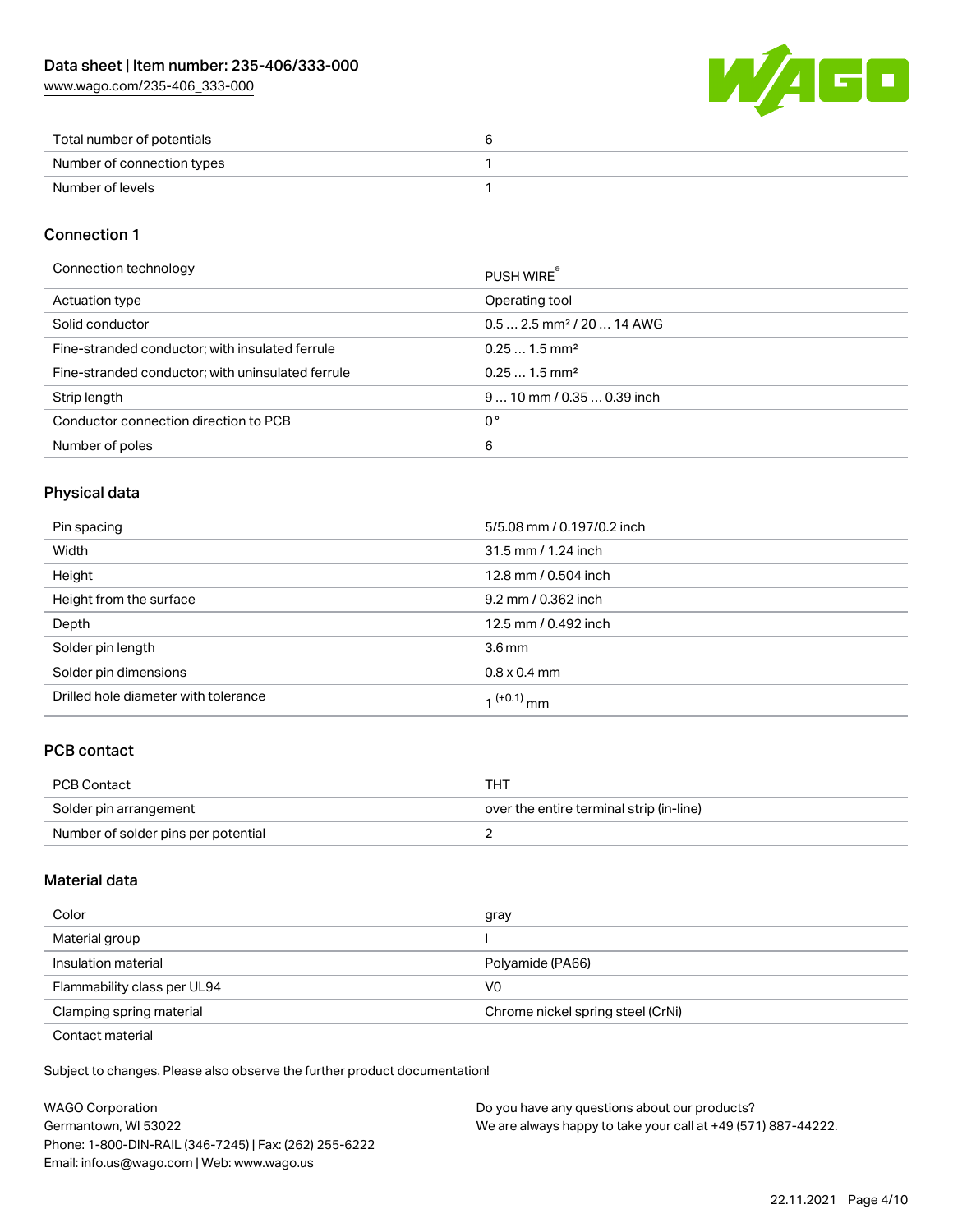[www.wago.com/235-406\\_333-000](http://www.wago.com/235-406_333-000)



| Total number of potentials |  |
|----------------------------|--|
| Number of connection types |  |
| Number of levels           |  |

#### Connection 1

| Connection technology                             | PUSH WIRE <sup>®</sup>                 |
|---------------------------------------------------|----------------------------------------|
| Actuation type                                    | Operating tool                         |
| Solid conductor                                   | $0.5$ 2.5 mm <sup>2</sup> / 20  14 AWG |
| Fine-stranded conductor; with insulated ferrule   | $0.251.5$ mm <sup>2</sup>              |
| Fine-stranded conductor; with uninsulated ferrule | $0.251.5$ mm <sup>2</sup>              |
| Strip length                                      | $910$ mm / 0.35  0.39 inch             |
| Conductor connection direction to PCB             | 0°                                     |
| Number of poles                                   | 6                                      |
|                                                   |                                        |

## Physical data

| Pin spacing                          | 5/5.08 mm / 0.197/0.2 inch |
|--------------------------------------|----------------------------|
| Width                                | 31.5 mm / 1.24 inch        |
| Height                               | 12.8 mm / 0.504 inch       |
| Height from the surface              | 9.2 mm / 0.362 inch        |
| Depth                                | 12.5 mm / 0.492 inch       |
| Solder pin length                    | 3.6 <sub>mm</sub>          |
| Solder pin dimensions                | $0.8 \times 0.4$ mm        |
| Drilled hole diameter with tolerance | $1^{(+0.1)}$ mm            |

## PCB contact

| PCB Contact                         | THT                                      |
|-------------------------------------|------------------------------------------|
| Solder pin arrangement              | over the entire terminal strip (in-line) |
| Number of solder pins per potential |                                          |

### Material data

| Color                                            | gray                              |
|--------------------------------------------------|-----------------------------------|
| Material group                                   |                                   |
| Insulation material                              | Polyamide (PA66)                  |
| Flammability class per UL94                      | V0                                |
| Clamping spring material                         | Chrome nickel spring steel (CrNi) |
| $\sim$ $\sim$ $\sim$ $\sim$ $\sim$ $\sim$ $\sim$ |                                   |

Contact material

Subject to changes. Please also observe the further product documentation!  $\mathbf{E}$ 

| <b>WAGO Corporation</b>                                | Do you have any questions about our products?                 |
|--------------------------------------------------------|---------------------------------------------------------------|
| Germantown, WI 53022                                   | We are always happy to take your call at +49 (571) 887-44222. |
| Phone: 1-800-DIN-RAIL (346-7245)   Fax: (262) 255-6222 |                                                               |
| Email: info.us@wago.com   Web: www.wago.us             |                                                               |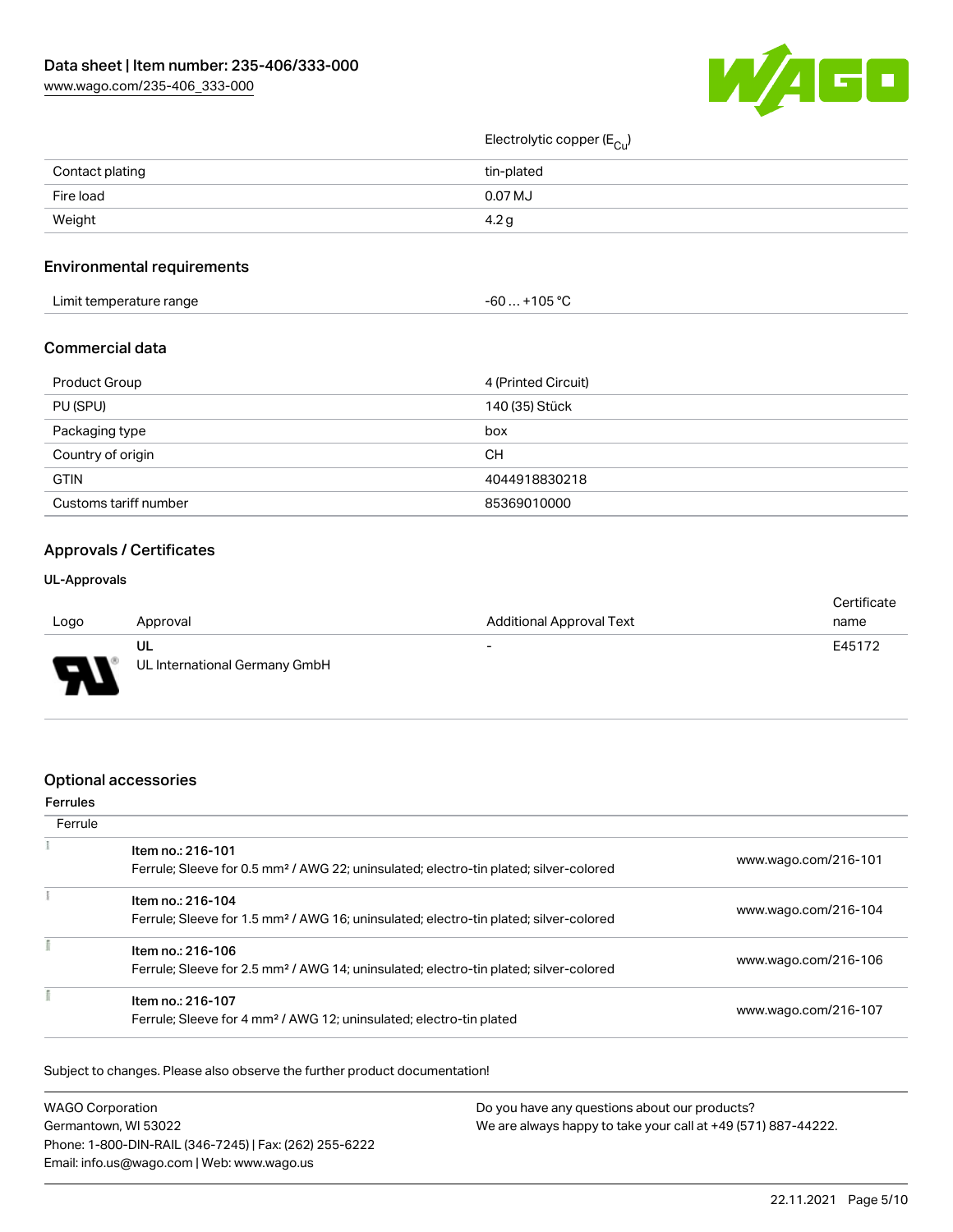W/AGO

# [www.wago.com/235-406\\_333-000](http://www.wago.com/235-406_333-000)

| Electrolytic copper ( $E_{Cu}$ ) |  |
|----------------------------------|--|
|----------------------------------|--|

| Contact plating | tin-plated |
|-----------------|------------|
| Fire load       | 0.07 MJ    |
| Weight          | 4.2c       |

## Environmental requirements

| Limit temperature range | $. +105 °C$<br>-60 |  |
|-------------------------|--------------------|--|
|-------------------------|--------------------|--|

#### Commercial data

| Product Group         | 4 (Printed Circuit) |
|-----------------------|---------------------|
| PU (SPU)              | 140 (35) Stück      |
| Packaging type        | box                 |
| Country of origin     | CН                  |
| <b>GTIN</b>           | 4044918830218       |
| Customs tariff number | 85369010000         |

## Approvals / Certificates

#### UL-Approvals

|      |                               |                                 | Certificate |
|------|-------------------------------|---------------------------------|-------------|
| Logo | Approval                      | <b>Additional Approval Text</b> | name        |
|      | ul                            | $\overline{\phantom{0}}$        | E45172      |
| o    | UL International Germany GmbH |                                 |             |

#### Optional accessories

## Ferrules **Ferrule**  $\overline{1}$ Item no.: 216-101 Ferrule; Sleeve for 0.5 mm² / AWG 22; uninsulated; electro-tin plated; silver-colored [www.wago.com/216-101](http://www.wago.com/216-101)

| Item no.: 216-104<br>Ferrule; Sleeve for 1.5 mm <sup>2</sup> / AWG 16; uninsulated; electro-tin plated; silver-colored | www.wago.com/216-104 |
|------------------------------------------------------------------------------------------------------------------------|----------------------|
| Item no.: 216-106<br>Ferrule; Sleeve for 2.5 mm <sup>2</sup> / AWG 14; uninsulated; electro-tin plated; silver-colored | www.wago.com/216-106 |
| Item no.: 216-107<br>Ferrule; Sleeve for 4 mm <sup>2</sup> / AWG 12; uninsulated; electro-tin plated                   | www.wago.com/216-107 |

Subject to changes. Please also observe the further product documentation!

| <b>WAGO Corporation</b>                                | Do you have any questions about our products?                 |
|--------------------------------------------------------|---------------------------------------------------------------|
| Germantown, WI 53022                                   | We are always happy to take your call at +49 (571) 887-44222. |
| Phone: 1-800-DIN-RAIL (346-7245)   Fax: (262) 255-6222 |                                                               |
| Email: info.us@wago.com   Web: www.wago.us             |                                                               |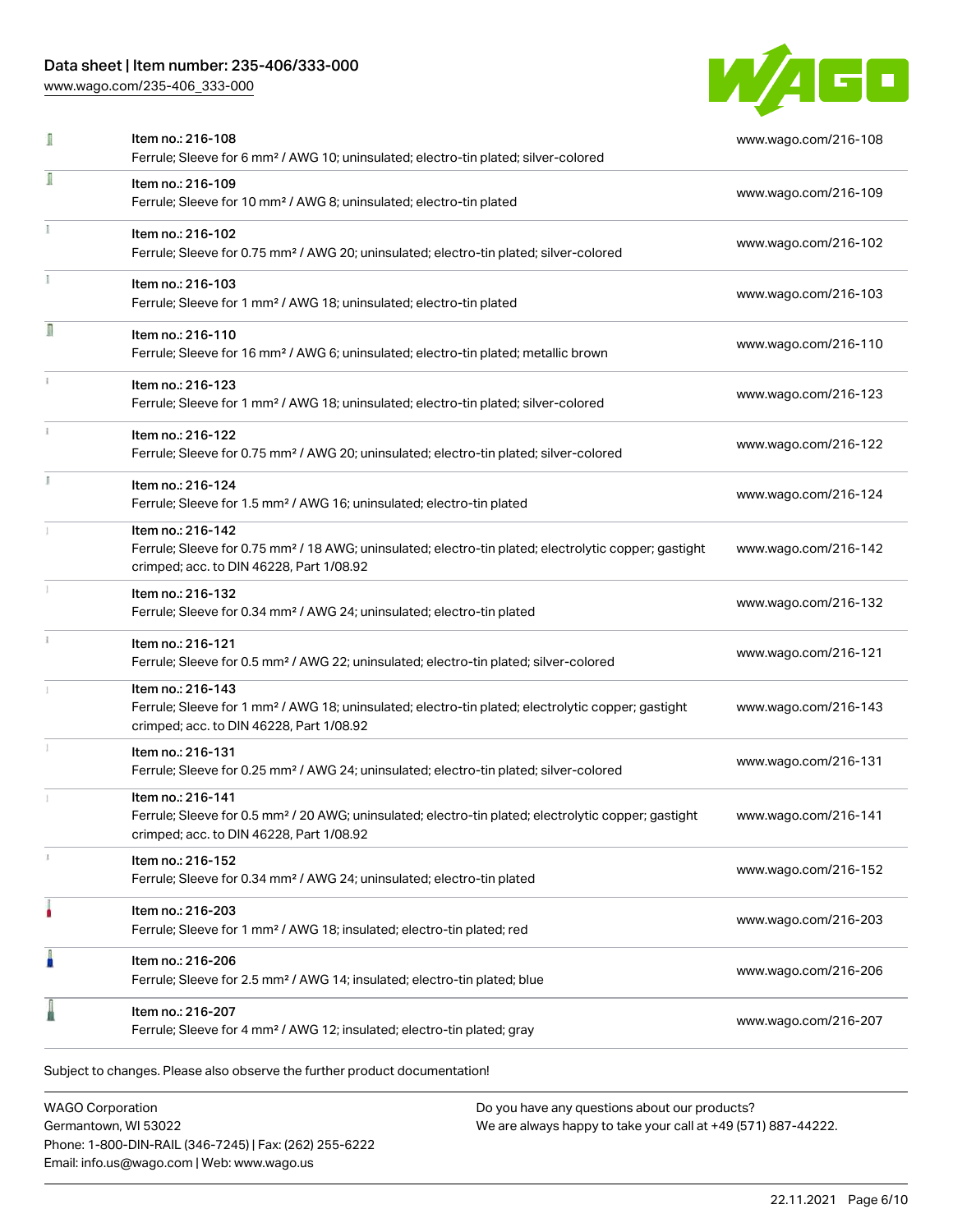[www.wago.com/235-406\\_333-000](http://www.wago.com/235-406_333-000)



| I | Item no.: 216-108<br>Ferrule; Sleeve for 6 mm <sup>2</sup> / AWG 10; uninsulated; electro-tin plated; silver-colored                                                               | www.wago.com/216-108 |
|---|------------------------------------------------------------------------------------------------------------------------------------------------------------------------------------|----------------------|
| I | Item no.: 216-109<br>Ferrule; Sleeve for 10 mm <sup>2</sup> / AWG 8; uninsulated; electro-tin plated                                                                               | www.wago.com/216-109 |
|   | Item no.: 216-102<br>Ferrule; Sleeve for 0.75 mm <sup>2</sup> / AWG 20; uninsulated; electro-tin plated; silver-colored                                                            | www.wago.com/216-102 |
|   | Item no.: 216-103<br>Ferrule; Sleeve for 1 mm <sup>2</sup> / AWG 18; uninsulated; electro-tin plated                                                                               | www.wago.com/216-103 |
| Π | Item no.: 216-110<br>Ferrule; Sleeve for 16 mm <sup>2</sup> / AWG 6; uninsulated; electro-tin plated; metallic brown                                                               | www.wago.com/216-110 |
|   | Item no.: 216-123<br>Ferrule; Sleeve for 1 mm <sup>2</sup> / AWG 18; uninsulated; electro-tin plated; silver-colored                                                               | www.wago.com/216-123 |
|   | Item no.: 216-122<br>Ferrule; Sleeve for 0.75 mm <sup>2</sup> / AWG 20; uninsulated; electro-tin plated; silver-colored                                                            | www.wago.com/216-122 |
|   | Item no.: 216-124<br>Ferrule; Sleeve for 1.5 mm <sup>2</sup> / AWG 16; uninsulated; electro-tin plated                                                                             | www.wago.com/216-124 |
|   | Item no.: 216-142<br>Ferrule; Sleeve for 0.75 mm <sup>2</sup> / 18 AWG; uninsulated; electro-tin plated; electrolytic copper; gastight<br>crimped; acc. to DIN 46228, Part 1/08.92 | www.wago.com/216-142 |
|   | Item no.: 216-132<br>Ferrule; Sleeve for 0.34 mm <sup>2</sup> / AWG 24; uninsulated; electro-tin plated                                                                            | www.wago.com/216-132 |
|   | Item no.: 216-121<br>Ferrule; Sleeve for 0.5 mm <sup>2</sup> / AWG 22; uninsulated; electro-tin plated; silver-colored                                                             | www.wago.com/216-121 |
|   | Item no.: 216-143<br>Ferrule; Sleeve for 1 mm <sup>2</sup> / AWG 18; uninsulated; electro-tin plated; electrolytic copper; gastight<br>crimped; acc. to DIN 46228, Part 1/08.92    | www.wago.com/216-143 |
|   | Item no.: 216-131<br>Ferrule; Sleeve for 0.25 mm <sup>2</sup> / AWG 24; uninsulated; electro-tin plated; silver-colored                                                            | www.wago.com/216-131 |
|   | Item no.: 216-141<br>Ferrule; Sleeve for 0.5 mm <sup>2</sup> / 20 AWG; uninsulated; electro-tin plated; electrolytic copper; gastight<br>crimped; acc. to DIN 46228, Part 1/08.92  | www.wago.com/216-141 |
|   | Item no.: 216-152<br>Ferrule; Sleeve for 0.34 mm <sup>2</sup> / AWG 24; uninsulated; electro-tin plated                                                                            | www.wago.com/216-152 |
|   | Item no.: 216-203<br>Ferrule; Sleeve for 1 mm <sup>2</sup> / AWG 18; insulated; electro-tin plated; red                                                                            | www.wago.com/216-203 |
| I | Item no.: 216-206<br>Ferrule; Sleeve for 2.5 mm <sup>2</sup> / AWG 14; insulated; electro-tin plated; blue                                                                         | www.wago.com/216-206 |
|   | Item no.: 216-207<br>Ferrule; Sleeve for 4 mm <sup>2</sup> / AWG 12; insulated; electro-tin plated; gray                                                                           | www.wago.com/216-207 |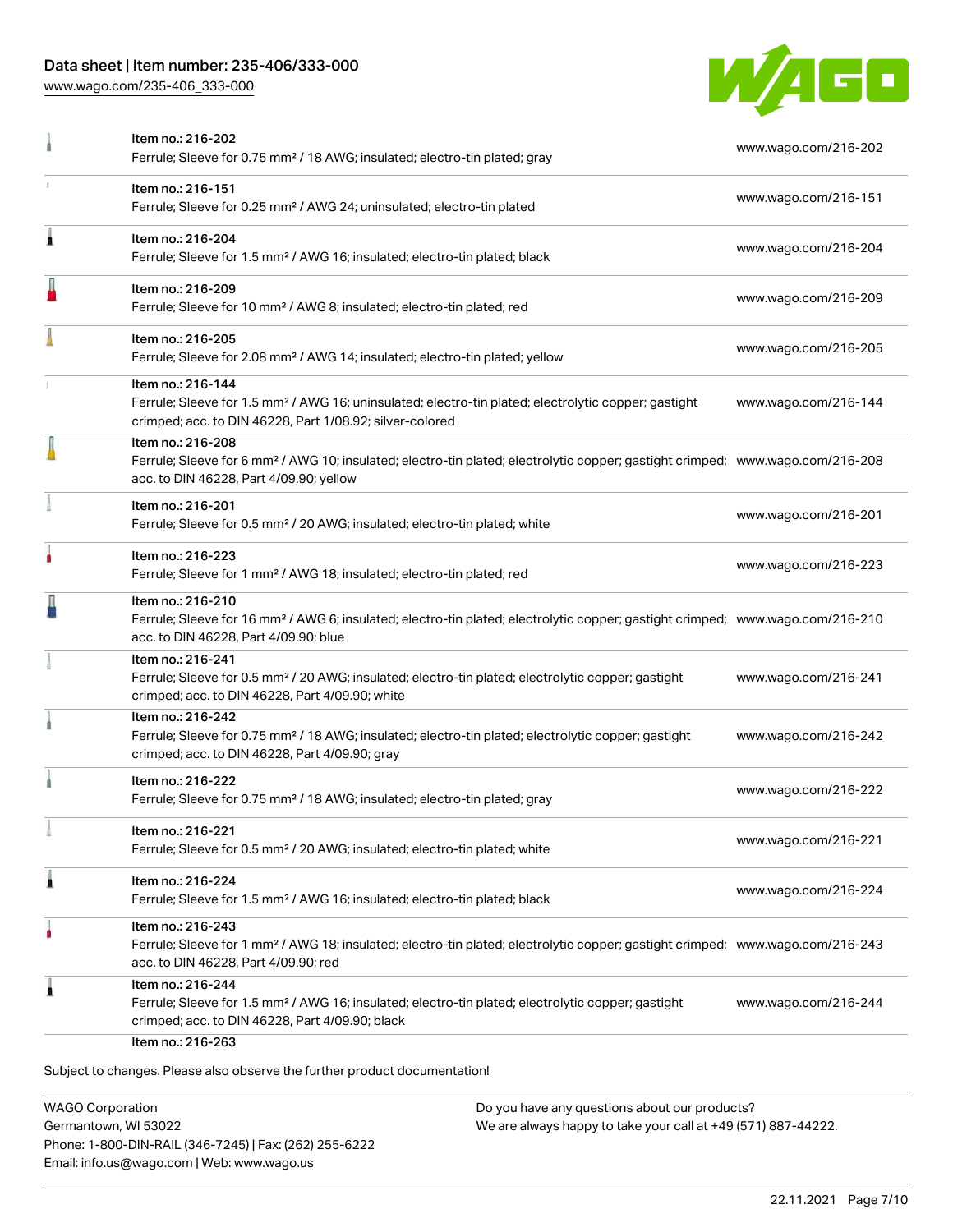[www.wago.com/235-406\\_333-000](http://www.wago.com/235-406_333-000)



| Item no.: 216-151                                                                                                                                                                                          |                      |
|------------------------------------------------------------------------------------------------------------------------------------------------------------------------------------------------------------|----------------------|
| Ferrule; Sleeve for 0.25 mm <sup>2</sup> / AWG 24; uninsulated; electro-tin plated                                                                                                                         | www.wago.com/216-151 |
| Item no.: 216-204<br>Ferrule; Sleeve for 1.5 mm <sup>2</sup> / AWG 16; insulated; electro-tin plated; black                                                                                                | www.wago.com/216-204 |
| Item no.: 216-209<br>Ferrule; Sleeve for 10 mm <sup>2</sup> / AWG 8; insulated; electro-tin plated; red                                                                                                    | www.wago.com/216-209 |
| Item no.: 216-205<br>Ferrule; Sleeve for 2.08 mm <sup>2</sup> / AWG 14; insulated; electro-tin plated; yellow                                                                                              | www.wago.com/216-205 |
| Item no.: 216-144<br>Ferrule; Sleeve for 1.5 mm <sup>2</sup> / AWG 16; uninsulated; electro-tin plated; electrolytic copper; gastight<br>crimped; acc. to DIN 46228, Part 1/08.92; silver-colored          | www.wago.com/216-144 |
| Item no.: 216-208<br>Ferrule; Sleeve for 6 mm <sup>2</sup> / AWG 10; insulated; electro-tin plated; electrolytic copper; gastight crimped; www.wago.com/216-208<br>acc. to DIN 46228, Part 4/09.90; yellow |                      |
| Item no.: 216-201<br>Ferrule; Sleeve for 0.5 mm <sup>2</sup> / 20 AWG; insulated; electro-tin plated; white                                                                                                | www.wago.com/216-201 |
| Item no.: 216-223<br>Ferrule; Sleeve for 1 mm <sup>2</sup> / AWG 18; insulated; electro-tin plated; red                                                                                                    | www.wago.com/216-223 |
| Item no.: 216-210<br>Ferrule; Sleeve for 16 mm <sup>2</sup> / AWG 6; insulated; electro-tin plated; electrolytic copper; gastight crimped; www.wago.com/216-210<br>acc. to DIN 46228, Part 4/09.90; blue   |                      |
| Item no.: 216-241<br>Ferrule; Sleeve for 0.5 mm <sup>2</sup> / 20 AWG; insulated; electro-tin plated; electrolytic copper; gastight<br>crimped; acc. to DIN 46228, Part 4/09.90; white                     | www.wago.com/216-241 |
| Item no.: 216-242<br>Ferrule; Sleeve for 0.75 mm <sup>2</sup> / 18 AWG; insulated; electro-tin plated; electrolytic copper; gastight<br>crimped; acc. to DIN 46228, Part 4/09.90; gray                     | www.wago.com/216-242 |
| Item no.: 216-222<br>Ferrule; Sleeve for 0.75 mm <sup>2</sup> / 18 AWG; insulated; electro-tin plated; gray                                                                                                | www.wago.com/216-222 |
| ltem no.: 216-221<br>Ferrule; Sleeve for 0.5 mm <sup>2</sup> / 20 AWG; insulated; electro-tin plated; white                                                                                                | www.wago.com/216-221 |
| Item no.: 216-224<br>Ferrule; Sleeve for 1.5 mm <sup>2</sup> / AWG 16; insulated; electro-tin plated; black                                                                                                | www.wago.com/216-224 |
| Item no.: 216-243<br>Ferrule; Sleeve for 1 mm <sup>2</sup> / AWG 18; insulated; electro-tin plated; electrolytic copper; gastight crimped; www.wago.com/216-243<br>acc. to DIN 46228, Part 4/09.90; red    |                      |
| Item no.: 216-244<br>Ferrule; Sleeve for 1.5 mm <sup>2</sup> / AWG 16; insulated; electro-tin plated; electrolytic copper; gastight<br>crimped; acc. to DIN 46228, Part 4/09.90; black                     | www.wago.com/216-244 |
|                                                                                                                                                                                                            | Item no.: 216-263    |

WAGO Corporation Germantown, WI 53022 Phone: 1-800-DIN-RAIL (346-7245) | Fax: (262) 255-6222 Email: info.us@wago.com | Web: www.wago.us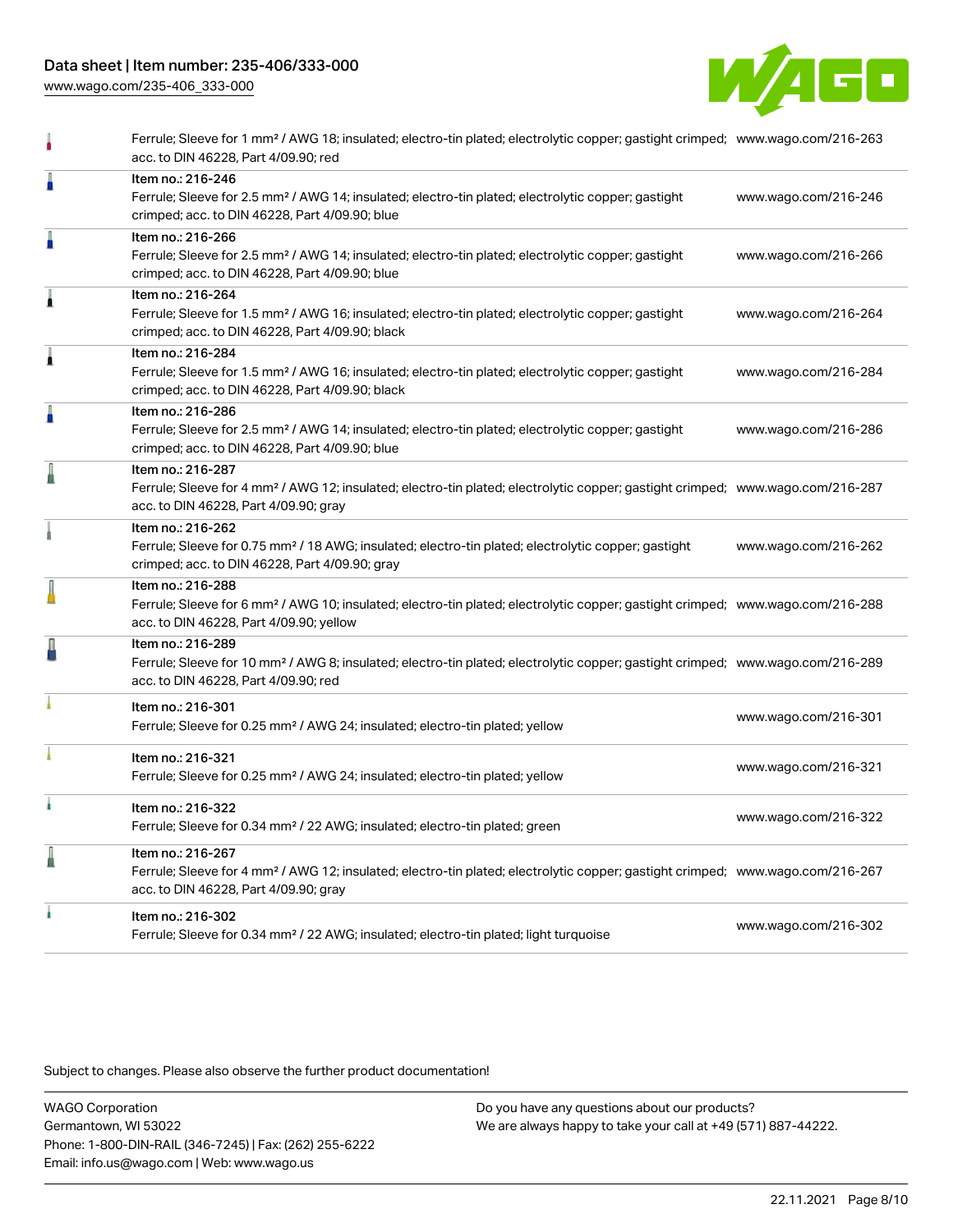[www.wago.com/235-406\\_333-000](http://www.wago.com/235-406_333-000)



|   | Ferrule; Sleeve for 1 mm <sup>2</sup> / AWG 18; insulated; electro-tin plated; electrolytic copper; gastight crimped; www.wago.com/216-263<br>acc. to DIN 46228, Part 4/09.90; red                         |                      |
|---|------------------------------------------------------------------------------------------------------------------------------------------------------------------------------------------------------------|----------------------|
| Å | Item no.: 216-246<br>Ferrule; Sleeve for 2.5 mm <sup>2</sup> / AWG 14; insulated; electro-tin plated; electrolytic copper; gastight<br>crimped; acc. to DIN 46228, Part 4/09.90; blue                      | www.wago.com/216-246 |
| Å | Item no.: 216-266<br>Ferrule; Sleeve for 2.5 mm <sup>2</sup> / AWG 14; insulated; electro-tin plated; electrolytic copper; gastight<br>crimped; acc. to DIN 46228, Part 4/09.90; blue                      | www.wago.com/216-266 |
| Â | Item no.: 216-264<br>Ferrule; Sleeve for 1.5 mm <sup>2</sup> / AWG 16; insulated; electro-tin plated; electrolytic copper; gastight<br>crimped; acc. to DIN 46228, Part 4/09.90; black                     | www.wago.com/216-264 |
| Â | Item no.: 216-284<br>Ferrule; Sleeve for 1.5 mm <sup>2</sup> / AWG 16; insulated; electro-tin plated; electrolytic copper; gastight<br>crimped; acc. to DIN 46228, Part 4/09.90; black                     | www.wago.com/216-284 |
| I | Item no.: 216-286<br>Ferrule; Sleeve for 2.5 mm <sup>2</sup> / AWG 14; insulated; electro-tin plated; electrolytic copper; gastight<br>crimped; acc. to DIN 46228, Part 4/09.90; blue                      | www.wago.com/216-286 |
| I | Item no.: 216-287<br>Ferrule; Sleeve for 4 mm <sup>2</sup> / AWG 12; insulated; electro-tin plated; electrolytic copper; gastight crimped; www.wago.com/216-287<br>acc. to DIN 46228, Part 4/09.90; gray   |                      |
|   | Item no.: 216-262<br>Ferrule; Sleeve for 0.75 mm <sup>2</sup> / 18 AWG; insulated; electro-tin plated; electrolytic copper; gastight<br>crimped; acc. to DIN 46228, Part 4/09.90; gray                     | www.wago.com/216-262 |
|   | Item no.: 216-288<br>Ferrule; Sleeve for 6 mm <sup>2</sup> / AWG 10; insulated; electro-tin plated; electrolytic copper; gastight crimped; www.wago.com/216-288<br>acc. to DIN 46228, Part 4/09.90; yellow |                      |
| ł | Item no.: 216-289<br>Ferrule; Sleeve for 10 mm <sup>2</sup> / AWG 8; insulated; electro-tin plated; electrolytic copper; gastight crimped; www.wago.com/216-289<br>acc. to DIN 46228, Part 4/09.90; red    |                      |
|   | Item no.: 216-301<br>Ferrule; Sleeve for 0.25 mm <sup>2</sup> / AWG 24; insulated; electro-tin plated; yellow                                                                                              | www.wago.com/216-301 |
|   | Item no.: 216-321<br>Ferrule; Sleeve for 0.25 mm <sup>2</sup> / AWG 24; insulated; electro-tin plated; yellow                                                                                              | www.wago.com/216-321 |
|   | Item no.: 216-322<br>Ferrule; Sleeve for 0.34 mm <sup>2</sup> / 22 AWG; insulated; electro-tin plated; green                                                                                               | www.wago.com/216-322 |
| l | Item no.: 216-267<br>Ferrule; Sleeve for 4 mm <sup>2</sup> / AWG 12; insulated; electro-tin plated; electrolytic copper; gastight crimped; www.wago.com/216-267<br>acc. to DIN 46228, Part 4/09.90; gray   |                      |
|   | Item no.: 216-302<br>Ferrule; Sleeve for 0.34 mm <sup>2</sup> / 22 AWG; insulated; electro-tin plated; light turquoise                                                                                     | www.wago.com/216-302 |
|   |                                                                                                                                                                                                            |                      |

Subject to changes. Please also observe the further product documentation!

WAGO Corporation Germantown, WI 53022 Phone: 1-800-DIN-RAIL (346-7245) | Fax: (262) 255-6222 Email: info.us@wago.com | Web: www.wago.us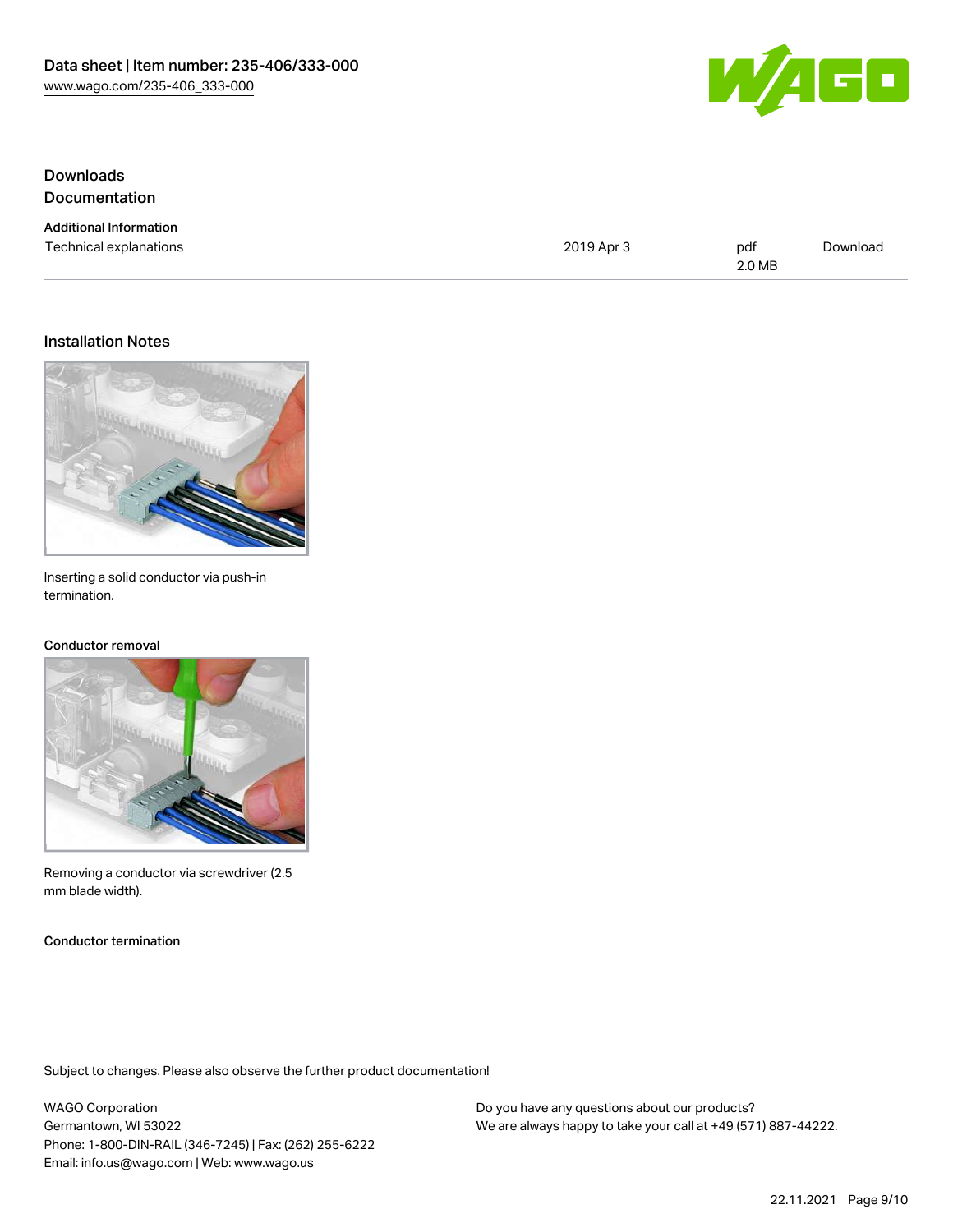

## Downloads Documentation

| <b>Additional Information</b> |            |        |          |
|-------------------------------|------------|--------|----------|
| Technical explanations        | 2019 Apr 3 | pdf    | Download |
|                               |            | 2.0 MB |          |

#### Installation Notes



Inserting a solid conductor via push-in termination.

#### Conductor removal



Removing a conductor via screwdriver (2.5 mm blade width).

Conductor termination

Subject to changes. Please also observe the further product documentation!

WAGO Corporation Germantown, WI 53022 Phone: 1-800-DIN-RAIL (346-7245) | Fax: (262) 255-6222 Email: info.us@wago.com | Web: www.wago.us